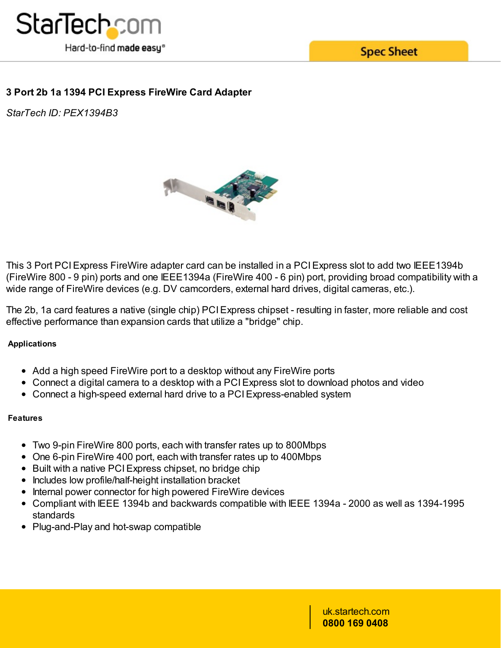

**Spec Sheet** 

# **3 Port 2b 1a 1394 PCI Express FireWire Card Adapter**

*StarTech ID: PEX1394B3*



This 3 Port PCIExpress FireWire adapter card can be installed in a PCIExpress slot to add two IEEE1394b (FireWire 800 - 9 pin) ports and one IEEE1394a (FireWire 400 - 6 pin) port, providing broad compatibility with a wide range of FireWire devices (e.g. DV camcorders, external hard drives, digital cameras, etc.).

The 2b, 1a card features a native (single chip) PCI Express chipset - resulting in faster, more reliable and cost effective performance than expansion cards that utilize a "bridge" chip.

## **Applications**

- Add a high speed FireWire port to a desktop without any FireWire ports
- Connect a digital camera to a desktop with a PCIExpress slot to download photos and video
- Connect a high-speed external hard drive to a PCIExpress-enabled system

#### **Features**

- Two 9-pin FireWire 800 ports, each with transfer rates up to 800Mbps
- One 6-pin FireWire 400 port, each with transfer rates up to 400Mbps
- Built with a native PCI Express chipset, no bridge chip
- Includes low profile/half-height installation bracket
- Internal power connector for high powered FireWire devices
- Compliant with IEEE 1394b and backwards compatible with IEEE 1394a 2000 as well as 1394-1995 standards
- Plug-and-Play and hot-swap compatible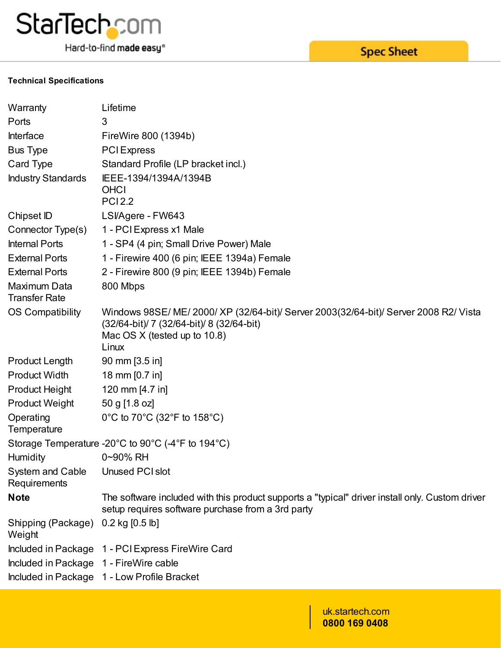

Hard-to-find made easy®

#### **Technical Specifications**

| Warranty                                         | Lifetime                                                                                                                                                                    |
|--------------------------------------------------|-----------------------------------------------------------------------------------------------------------------------------------------------------------------------------|
| Ports                                            | 3                                                                                                                                                                           |
| Interface                                        | FireWire 800 (1394b)                                                                                                                                                        |
| <b>Bus Type</b>                                  | <b>PCI</b> Express                                                                                                                                                          |
| Card Type                                        | Standard Profile (LP bracket incl.)                                                                                                                                         |
| <b>Industry Standards</b>                        | IEEE-1394/1394A/1394B<br><b>OHCI</b><br><b>PCI2.2</b>                                                                                                                       |
| Chipset ID                                       | LSI/Agere - FW643                                                                                                                                                           |
| Connector Type(s)                                | 1 - PCI Express x1 Male                                                                                                                                                     |
| <b>Internal Ports</b>                            | 1 - SP4 (4 pin; Small Drive Power) Male                                                                                                                                     |
| <b>External Ports</b>                            | 1 - Firewire 400 (6 pin; IEEE 1394a) Female                                                                                                                                 |
| <b>External Ports</b>                            | 2 - Firewire 800 (9 pin; IEEE 1394b) Female                                                                                                                                 |
| Maximum Data<br><b>Transfer Rate</b>             | 800 Mbps                                                                                                                                                                    |
| <b>OS Compatibility</b>                          | Windows 98SE/ ME/ 2000/ XP (32/64-bit)/ Server 2003(32/64-bit)/ Server 2008 R2/ Vista<br>(32/64-bit)/ 7 (32/64-bit)/ 8 (32/64-bit)<br>Mac OS X (tested up to 10.8)<br>Linux |
| <b>Product Length</b>                            | $90 \text{ mm}$ [3.5 in]                                                                                                                                                    |
| <b>Product Width</b>                             | 18 mm [0.7 in]                                                                                                                                                              |
| <b>Product Height</b>                            | 120 mm [4.7 in]                                                                                                                                                             |
| <b>Product Weight</b>                            | 50 g [1.8 oz]                                                                                                                                                               |
| Operating<br>Temperature                         | 0°C to 70°C (32°F to 158°C)                                                                                                                                                 |
|                                                  | Storage Temperature -20 $^{\circ}$ C to 90 $^{\circ}$ C (-4 $^{\circ}$ F to 194 $^{\circ}$ C)                                                                               |
| <b>Humidity</b>                                  | 0~90% RH                                                                                                                                                                    |
| System and Cable Unused PCI slot<br>Requirements |                                                                                                                                                                             |
| <b>Note</b>                                      | The software included with this product supports a "typical" driver install only. Custom driver<br>setup requires software purchase from a 3rd party                        |
| Shipping (Package)<br>Weight                     | $0.2$ kg $[0.5$ lb]                                                                                                                                                         |
|                                                  | Included in Package 1 - PCI Express FireWire Card                                                                                                                           |
| Included in Package 1 - FireWire cable           |                                                                                                                                                                             |
|                                                  | Included in Package 1 - Low Profile Bracket                                                                                                                                 |
|                                                  |                                                                                                                                                                             |

### uk.startech.com **0800 169 0408**